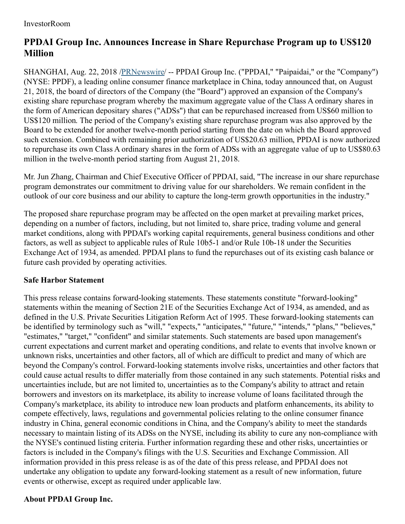# **PPDAI Group Inc. Announces Increase in Share Repurchase Program up to US\$120 Million**

SHANGHAI, Aug. 22, 2018 [/PRNewswire](http://www.prnewswire.com/)/ -- PPDAI Group Inc. ("PPDAI," "Paipaidai," or the "Company") (NYSE: PPDF), a leading online consumer finance marketplace in China, today announced that, on August 21, 2018, the board of directors of the Company (the "Board") approved an expansion of the Company's existing share repurchase program whereby the maximum aggregate value of the Class A ordinary shares in the form of American depositary shares ("ADSs") that can be repurchased increased from US\$60 million to US\$120 million. The period of the Company's existing share repurchase program was also approved by the Board to be extended for another twelve-month period starting from the date on which the Board approved such extension. Combined with remaining prior authorization of US\$20.63 million, PPDAI is now authorized to repurchase its own Class A ordinary shares in the form of ADSs with an aggregate value of up to US\$80.63 million in the twelve-month period starting from August 21, 2018.

Mr. Jun Zhang, Chairman and Chief Executive Officer of PPDAI, said, "The increase in our share repurchase program demonstrates our commitment to driving value for our shareholders. We remain confident in the outlook of our core business and our ability to capture the long-term growth opportunities in the industry."

The proposed share repurchase program may be affected on the open market at prevailing market prices, depending on a number of factors, including, but not limited to, share price, trading volume and general market conditions, along with PPDAI's working capital requirements, general business conditions and other factors, as well as subject to applicable rules of Rule 10b5-1 and/or Rule 10b-18 under the Securities Exchange Act of 1934, as amended. PPDAI plans to fund the repurchases out of its existing cash balance or future cash provided by operating activities.

## **Safe Harbor Statement**

This press release contains forward-looking statements. These statements constitute "forward-looking" statements within the meaning of Section 21E of the Securities Exchange Act of 1934, as amended, and as defined in the U.S. Private Securities Litigation Reform Act of 1995. These forward-looking statements can be identified by terminology such as "will," "expects," "anticipates," "future," "intends," "plans," "believes," "estimates," "target," "confident" and similar statements. Such statements are based upon management's current expectations and current market and operating conditions, and relate to events that involve known or unknown risks, uncertainties and other factors, all of which are difficult to predict and many of which are beyond the Company's control. Forward-looking statements involve risks, uncertainties and other factors that could cause actual results to differ materially from those contained in any such statements. Potential risks and uncertainties include, but are not limited to, uncertainties as to the Company's ability to attract and retain borrowers and investors on its marketplace, its ability to increase volume of loans facilitated through the Company's marketplace, its ability to introduce new loan products and platform enhancements, its ability to compete effectively, laws, regulations and governmental policies relating to the online consumer finance industry in China, general economic conditions in China, and the Company's ability to meet the standards necessary to maintain listing of its ADSs on the NYSE, including its ability to cure any non-compliance with the NYSE's continued listing criteria. Further information regarding these and other risks, uncertainties or factors is included in the Company's filings with the U.S. Securities and Exchange Commission. All information provided in this press release is as of the date of this press release, and PPDAI does not undertake any obligation to update any forward-looking statement as a result of new information, future events or otherwise, except as required under applicable law.

# **About PPDAI Group Inc.**